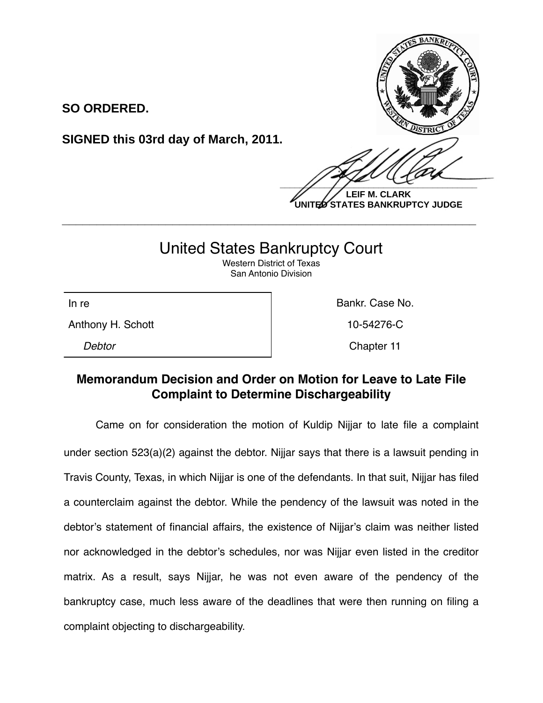**SO ORDERED.**

**SIGNED this 03rd day of March, 2011.**

 $\frac{1}{2}$ 

**LEIF M. CLARK UNITED STATES BANKRUPTCY JUDGE**

## United States Bankruptcy Court

**\_\_\_\_\_\_\_\_\_\_\_\_\_\_\_\_\_\_\_\_\_\_\_\_\_\_\_\_\_\_\_\_\_\_\_\_\_\_\_\_\_\_\_\_\_\_\_\_\_\_\_\_\_\_\_\_\_\_\_\_**

Western District of Texas San Antonio Division

Anthony H. Schott **10-54276-C** 

In re **Bankr.** Case No.

*Debtor* Chapter 11

## **Memorandum Decision and Order on Motion for Leave to Late File Complaint to Determine Dischargeability**

Came on for consideration the motion of Kuldip Nijjar to late file a complaint under section 523(a)(2) against the debtor. Nijjar says that there is a lawsuit pending in Travis County, Texas, in which Nijjar is one of the defendants. In that suit, Nijjar has filed a counterclaim against the debtor. While the pendency of the lawsuit was noted in the debtor's statement of financial affairs, the existence of Nijjar's claim was neither listed nor acknowledged in the debtor's schedules, nor was Nijjar even listed in the creditor matrix. As a result, says Nijjar, he was not even aware of the pendency of the bankruptcy case, much less aware of the deadlines that were then running on filing a complaint objecting to dischargeability.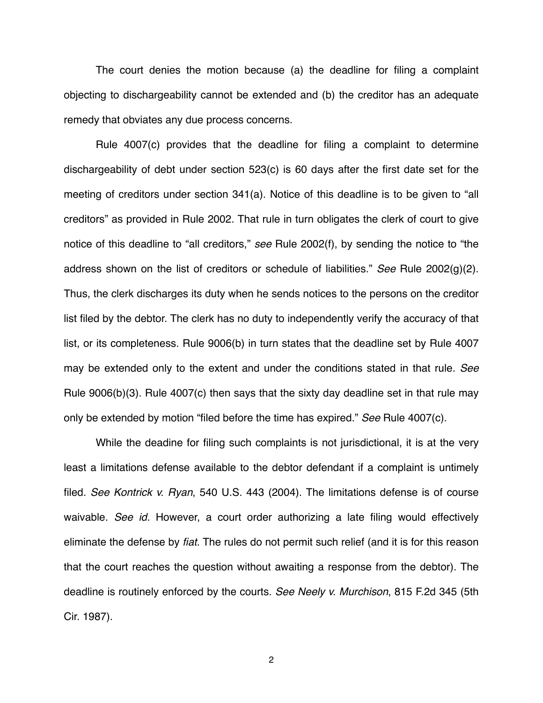The court denies the motion because (a) the deadline for filing a complaint objecting to dischargeability cannot be extended and (b) the creditor has an adequate remedy that obviates any due process concerns.

Rule 4007(c) provides that the deadline for filing a complaint to determine dischargeability of debt under section 523(c) is 60 days after the first date set for the meeting of creditors under section 341(a). Notice of this deadline is to be given to "all creditors" as provided in Rule 2002. That rule in turn obligates the clerk of court to give notice of this deadline to "all creditors," *see* Rule 2002(f), by sending the notice to "the address shown on the list of creditors or schedule of liabilities." *See* Rule 2002(g)(2). Thus, the clerk discharges its duty when he sends notices to the persons on the creditor list filed by the debtor. The clerk has no duty to independently verify the accuracy of that list, or its completeness. Rule 9006(b) in turn states that the deadline set by Rule 4007 may be extended only to the extent and under the conditions stated in that rule. *See*  Rule 9006(b)(3). Rule 4007(c) then says that the sixty day deadline set in that rule may only be extended by motion "filed before the time has expired." *See* Rule 4007(c).

While the deadine for filing such complaints is not jurisdictional, it is at the very least a limitations defense available to the debtor defendant if a complaint is untimely filed. *See Kontrick v. Ryan*, 540 U.S. 443 (2004). The limitations defense is of course waivable. *See id.* However, a court order authorizing a late filing would effectively eliminate the defense by *fiat*. The rules do not permit such relief (and it is for this reason that the court reaches the question without awaiting a response from the debtor). The deadline is routinely enforced by the courts. *See Neely v. Murchison*, 815 F.2d 345 (5th Cir. 1987).

2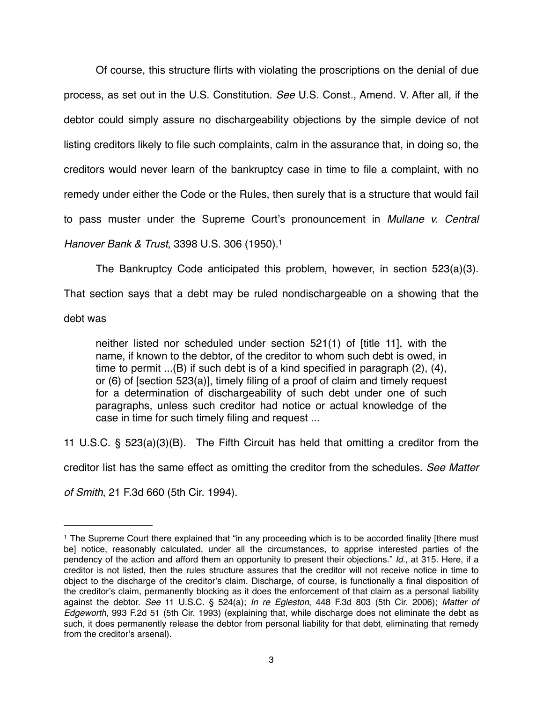Of course, this structure flirts with violating the proscriptions on the denial of due process, as set out in the U.S. Constitution. *See* U.S. Const., Amend. V. After all, if the debtor could simply assure no dischargeability objections by the simple device of not listing creditors likely to file such complaints, calm in the assurance that, in doing so, the creditors would never learn of the bankruptcy case in time to file a complaint, with no remedy under either the Code or the Rules, then surely that is a structure that would fail to pass muster under the Supreme Court's pronouncement in *Mullane v. Central Hanover Bank & Trust*, 3398 U.S. 306 (1950)[.1](#page-2-0)

The Bankruptcy Code anticipated this problem, however, in section 523(a)(3).

That section says that a debt may be ruled nondischargeable on a showing that the

debt was

neither listed nor scheduled under section 521(1) of [title 11], with the name, if known to the debtor, of the creditor to whom such debt is owed, in time to permit ...(B) if such debt is of a kind specified in paragraph (2), (4), or (6) of [section 523(a)], timely filing of a proof of claim and timely request for a determination of dischargeability of such debt under one of such paragraphs, unless such creditor had notice or actual knowledge of the case in time for such timely filing and request ...

11 U.S.C. § 523(a)(3)(B). The Fifth Circuit has held that omitting a creditor from the creditor list has the same effect as omitting the creditor from the schedules. *See Matter* 

*of Smith*, 21 F.3d 660 (5th Cir. 1994).

<span id="page-2-0"></span><sup>&</sup>lt;sup>1</sup> The Supreme Court there explained that "in any proceeding which is to be accorded finality [there must be] notice, reasonably calculated, under all the circumstances, to apprise interested parties of the pendency of the action and afford them an opportunity to present their objections." *Id.*, at 315. Here, if a creditor is not listed, then the rules structure assures that the creditor will not receive notice in time to object to the discharge of the creditor's claim. Discharge, of course, is functionally a final disposition of the creditor's claim, permanently blocking as it does the enforcement of that claim as a personal liability against the debtor. *See* 11 U.S.C. § 524(a); *In re Egleston*, 448 F.3d 803 (5th Cir. 2006); *Matter of Edgeworth*, 993 F.2d 51 (5th Cir. 1993) (explaining that, while discharge does not eliminate the debt as such, it does permanently release the debtor from personal liability for that debt, eliminating that remedy from the creditor's arsenal).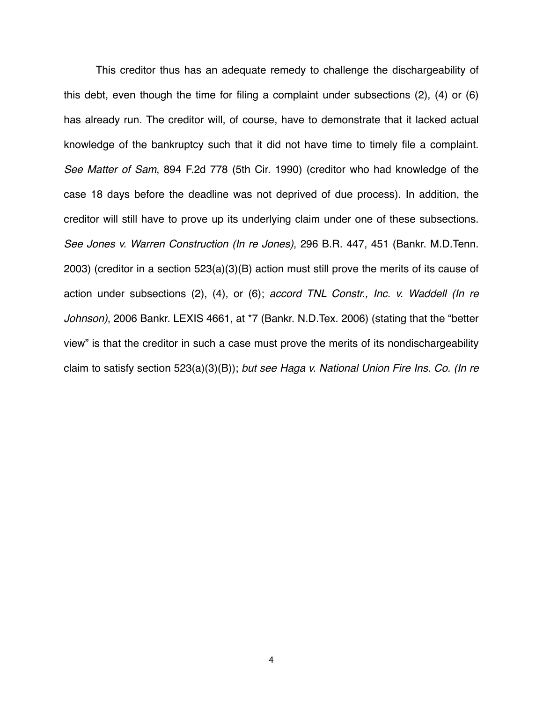This creditor thus has an adequate remedy to challenge the dischargeability of this debt, even though the time for filing a complaint under subsections (2), (4) or (6) has already run. The creditor will, of course, have to demonstrate that it lacked actual knowledge of the bankruptcy such that it did not have time to timely file a complaint. *See Matter of Sam*, 894 F.2d 778 (5th Cir. 1990) (creditor who had knowledge of the case 18 days before the deadline was not deprived of due process). In addition, the creditor will still have to prove up its underlying claim under one of these subsections. *See Jones v. Warren Construction (In re Jones)*, 296 B.R. 447, 451 (Bankr. M.D.Tenn. 2003) (creditor in a section 523(a)(3)(B) action must still prove the merits of its cause of action under subsections (2), (4), or (6); *accord TNL Constr., Inc. v. Waddell (In re Johnson)*, 2006 Bankr. LEXIS 4661, at \*7 (Bankr. N.D.Tex. 2006) (stating that the "better view" is that the creditor in such a case must prove the merits of its nondischargeability claim to satisfy section 523(a)(3)(B)); *but see Haga v. National Union Fire Ins. Co. (In re*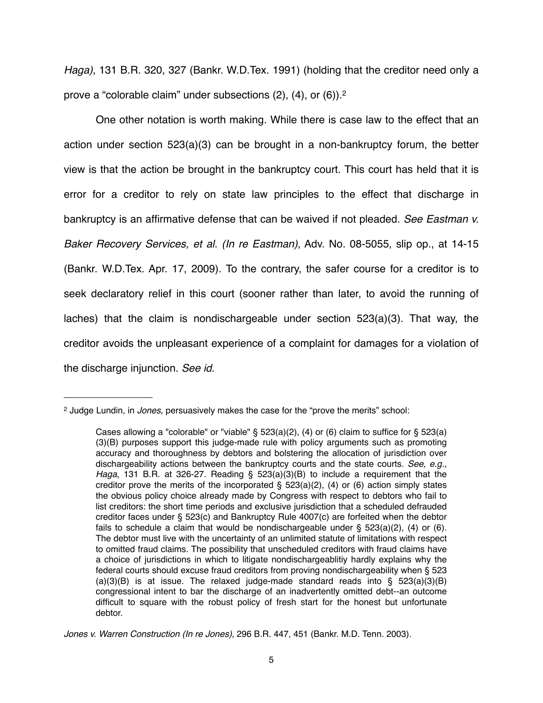*Haga)*, 131 B.R. 320, 327 (Bankr. W.D.Tex. 1991) (holding that the creditor need only a prove a "colorable claim" under subsections (2), (4), or (6))[.2](#page-4-0)

One other notation is worth making. While there is case law to the effect that an action under section 523(a)(3) can be brought in a non-bankruptcy forum, the better view is that the action be brought in the bankruptcy court. This court has held that it is error for a creditor to rely on state law principles to the effect that discharge in bankruptcy is an affirmative defense that can be waived if not pleaded. *See Eastman v. Baker Recovery Services, et al. (In re Eastman)*, Adv. No. 08-5055, slip op., at 14-15 (Bankr. W.D.Tex. Apr. 17, 2009). To the contrary, the safer course for a creditor is to seek declaratory relief in this court (sooner rather than later, to avoid the running of laches) that the claim is nondischargeable under section  $523(a)(3)$ . That way, the creditor avoids the unpleasant experience of a complaint for damages for a violation of the discharge injunction. *See id.*

<span id="page-4-0"></span><sup>2</sup> Judge Lundin, in *Jones*, persuasively makes the case for the "prove the merits" school:

Cases allowing a "colorable" or "viable" §  $523(a)(2)$ , (4) or (6) claim to suffice for §  $523(a)$ (3)(B) purposes support this judge-made rule with policy arguments such as promoting accuracy and thoroughness by debtors and bolstering the allocation of jurisdiction over dischargeability actions between the bankruptcy courts and the state courts. *See, e.g., Haga*, 131 B.R. at 326-27. Reading § 523(a)(3)(B) to include a requirement that the creditor prove the merits of the incorporated  $\S$  523(a)(2), (4) or (6) action simply states the obvious policy choice already made by Congress with respect to debtors who fail to list creditors: the short time periods and exclusive jurisdiction that a scheduled defrauded creditor faces under § 523(c) and Bankruptcy Rule 4007(c) are forfeited when the debtor fails to schedule a claim that would be nondischargeable under  $\S$  523(a)(2), (4) or (6). The debtor must live with the uncertainty of an unlimited statute of limitations with respect to omitted fraud claims. The possibility that unscheduled creditors with fraud claims have a choice of jurisdictions in which to litigate nondischargeablitiy hardly explains why the federal courts should excuse fraud creditors from proving nondischargeability when § 523 (a)(3)(B) is at issue. The relaxed judge-made standard reads into  $\hat{S}$  523(a)(3)(B) congressional intent to bar the discharge of an inadvertently omitted debt--an outcome difficult to square with the robust policy of fresh start for the honest but unfortunate debtor.

*Jones v. Warren Construction (In re Jones)*, 296 B.R. 447, 451 (Bankr. M.D. Tenn. 2003).